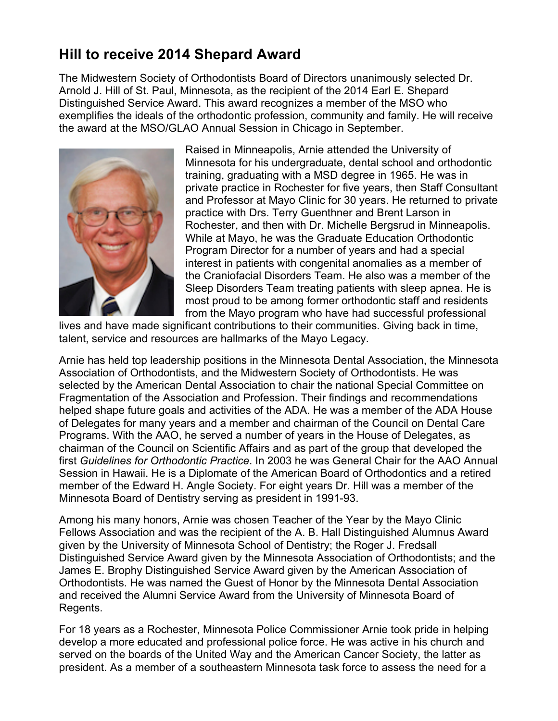## **Hill to receive 2014 Shepard Award**

The Midwestern Society of Orthodontists Board of Directors unanimously selected Dr. Arnold J. Hill of St. Paul, Minnesota, as the recipient of the 2014 Earl E. Shepard Distinguished Service Award. This award recognizes a member of the MSO who exemplifies the ideals of the orthodontic profession, community and family. He will receive the award at the MSO/GLAO Annual Session in Chicago in September.



Raised in Minneapolis, Arnie attended the University of Minnesota for his undergraduate, dental school and orthodontic training, graduating with a MSD degree in 1965. He was in private practice in Rochester for five years, then Staff Consultant and Professor at Mayo Clinic for 30 years. He returned to private practice with Drs. Terry Guenthner and Brent Larson in Rochester, and then with Dr. Michelle Bergsrud in Minneapolis. While at Mayo, he was the Graduate Education Orthodontic Program Director for a number of years and had a special interest in patients with congenital anomalies as a member of the Craniofacial Disorders Team. He also was a member of the Sleep Disorders Team treating patients with sleep apnea. He is most proud to be among former orthodontic staff and residents from the Mayo program who have had successful professional

lives and have made significant contributions to their communities. Giving back in time, talent, service and resources are hallmarks of the Mayo Legacy.

Arnie has held top leadership positions in the Minnesota Dental Association, the Minnesota Association of Orthodontists, and the Midwestern Society of Orthodontists. He was selected by the American Dental Association to chair the national Special Committee on Fragmentation of the Association and Profession. Their findings and recommendations helped shape future goals and activities of the ADA. He was a member of the ADA House of Delegates for many years and a member and chairman of the Council on Dental Care Programs. With the AAO, he served a number of years in the House of Delegates, as chairman of the Council on Scientific Affairs and as part of the group that developed the first *Guidelines for Orthodontic Practice*. In 2003 he was General Chair for the AAO Annual Session in Hawaii. He is a Diplomate of the American Board of Orthodontics and a retired member of the Edward H. Angle Society. For eight years Dr. Hill was a member of the Minnesota Board of Dentistry serving as president in 1991-93.

Among his many honors, Arnie was chosen Teacher of the Year by the Mayo Clinic Fellows Association and was the recipient of the A. B. Hall Distinguished Alumnus Award given by the University of Minnesota School of Dentistry; the Roger J. Fredsall Distinguished Service Award given by the Minnesota Association of Orthodontists; and the James E. Brophy Distinguished Service Award given by the American Association of Orthodontists. He was named the Guest of Honor by the Minnesota Dental Association and received the Alumni Service Award from the University of Minnesota Board of Regents.

For 18 years as a Rochester, Minnesota Police Commissioner Arnie took pride in helping develop a more educated and professional police force. He was active in his church and served on the boards of the United Way and the American Cancer Society, the latter as president. As a member of a southeastern Minnesota task force to assess the need for a